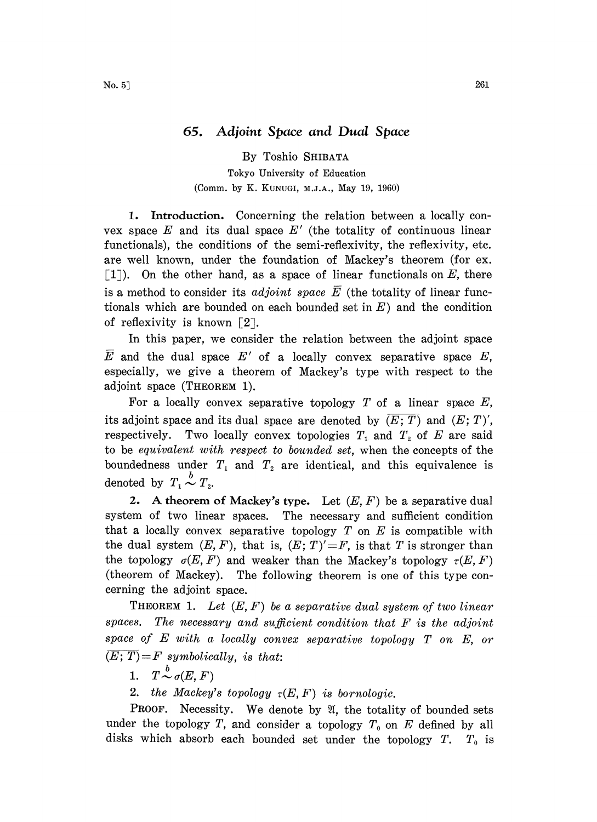## 65. Adjoint Space and Dual Space

By Toshio SHIBATA Tokyo University of Education (Comm. by K. KUNUGI, M.J.A., May 19, 1960)

1. Introduction. Concerning the relation between a locally convex space  $E$  and its dual space  $E'$  (the totality of continuous linear functionals), the conditions of the semi-reflexivity, the reflexivity, etc. are well known, under the foundation of Mackey's theorem (for ex.  $[1]$ . On the other hand, as a space of linear functionals on E, there is a method to consider its *adjoint space*  $\overline{E}$  (the totality of linear functionals which are bounded on each bounded set in  $E$ ) and the condition of reflexivity is known  $\lceil 2 \rceil$ .

In this paper, we consider the relation between the adjoint space  $\overline{E}$  and the dual space  $E'$  of a locally convex separative space E, especially, we give a theorem of Mackey's type with respect to the adjoint space (THEOREM l).

For a locally convex separative topology  $T$  of a linear space  $E$ , its adjoint space and its dual space are denoted by  $(E; T)$  and  $(E; T)'$ , respectively. Two locally convex topologies  $T_1$  and  $T_2$  of E are said to be equivalent with respect to bounded set, when the concepts of the boundedness under  $T_1$  and  $T_2$  are identical, and this equivalence is denoted by  $T_1 \stackrel{b}{\sim} T_2$ .

2. A theorem of Mackey's type. Let  $(E, F)$  be a separative dual system of two linear spaces. The necessary and sufficient condition that a locally convex separative topology  $T$  on  $E$  is compatible with the dual system  $(E, F)$ , that is,  $(E; T)' = F$ , is that T is stronger than the topology  $\sigma(E, F)$  and weaker than the Mackey's topology  $\tau(E, F)$ (theorem of Mackey). The following theorem is one of this type concerning the adjoint space.

**THEOREM 1.** Let  $(E, F)$  be a separative dual system of two linear spaces. The necessary and sufficient condition that F is the adjoint space of E with <sup>a</sup> locally convex separative topology T on E, or  $\overline{(E;T)}=F$  symbolically, is that:

1.  $T \stackrel{b}{\sim} \sigma(E, F)$ 

2. the Mackey's topology  $\tau(E, F)$  is bornologic.

**PROOF.** Necessity. We denote by  $\mathfrak{A}$ , the totality of bounded sets under the topology T, and consider a topology  $T_0$  on E defined by all disks which absorb each bounded set under the topology  $T$ .  $T_0$  is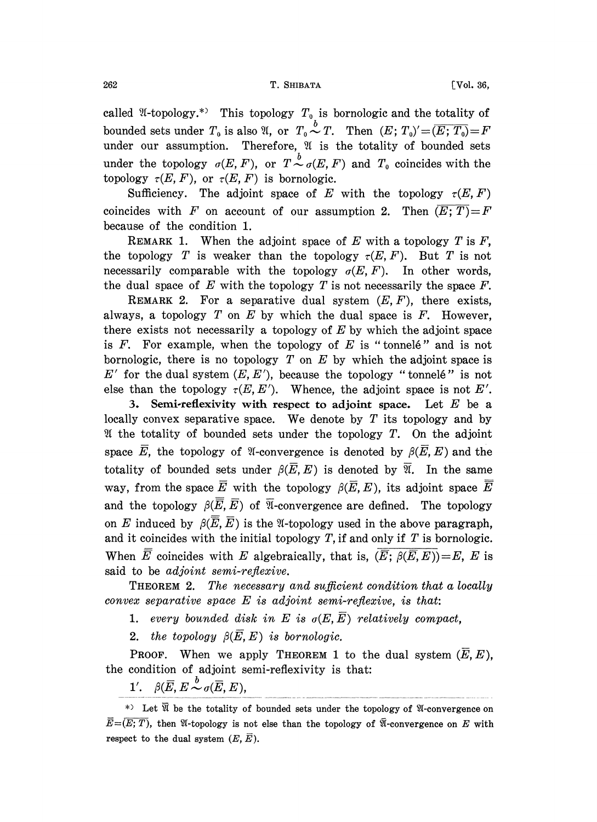called  $\mathfrak A$ -topology.\*) This topology  $T_0$  is bornologic and the totality of bounded sets under  $T_0$  is also  $\mathfrak{A},$  or  $T_0 \overset{b}{\sim} T$ . Then  $(E; T_0)' {=} \overline{(E; T_0)} {=} F$ under our assumption. Therefore,  $\mathfrak A$  is the totality of bounded sets under the topology  $\sigma(E, F)$ , or  $T \stackrel{b}{\sim} \sigma(E, F)$  and  $T_0$  coincides with the topology  $\tau(E, F)$ , or  $\tau(E, F)$  is bornologic.

Sufficiency. The adjoint space of E with the topology  $\tau(E, F)$ coincides with F on account of our assumption 2. Then  $(E; T) = F$ because of the condition 1.

REMARK 1. When the adjoint space of  $E$  with a topology  $T$  is  $F$ , the topology T is weaker than the topology  $\tau(E, F)$ . But T is not necessarily comparable with the topology  $\sigma(E, F)$ . In other words, the dual space of E with the topology T is not necessarily the space  $F$ .

REMARK 2. For a separative dual system  $(E, F)$ , there exists, always, a topology  $T$  on  $E$  by which the dual space is  $F$ . However, there exists not necessarily a topology of  $E$  by which the adjoint space is  $F$ . For example, when the topology of  $E$  is "tonnele" and is not bornologic, there is no topology  $T$  on  $E$  by which the adjoint space is  $E'$  for the dual system  $(E, E')$ , because the topology "tonnelé" is not else than the topology  $\tau(E, E')$ . Whence, the adjoint space is not E'.

3. Semi-reflexivity with respect to adjoint space. Let  $E$  be a locally convex separative space. We denote by  $T$  its topology and by If the totality of bounded sets under the topology  $T$ . On the adjoint space  $\overline{E}$ , the topology of *I*-convergence is denoted by  $\beta(\overline{E}, E)$  and the totality of bounded sets under  $\beta(\overline{E}, E)$  is denoted by  $\overline{\mathfrak{A}}$ . In the same way, from the space  $\overline{E}$  with the topology  $\beta(\overline{E}, E)$ , its adjoint space  $\overline{E}$ and the topology  $\beta(\overline{E}, \overline{E})$  of  $\overline{\mathfrak{A}}$ -convergence are defined. The topology on E induced by  $\beta(\overline{E}, \overline{E})$  is the *N*-topology used in the above paragraph, and it coincides with the initial topology  $T$ , if and only if  $T$  is bornologic. When  $\overline{E}$  coincides with E algebraically, that is,  $(\overline{E}; \beta(\overline{E}, E)) = E$ , E is said to be *adjoint* semi-reflexive.

**THEOREM 2.** The necessary and sufficient condition that a locally convex separative space  $E$  is adjoint semi-reflexive, is that:

1. every bounded disk in E is  $\sigma(E, \overline{E})$  relatively compact,

2. the topology  $\beta(E, E)$  is bornologic.

**PROOF.** When we apply THEOREM 1 to the dual system  $(\overline{E}, E)$ , the condition of adjoint semi-reflexivity is that:

1'.  $\beta(\overline{E}, E \stackrel{b}{\sim} \sigma(\overline{E}, E),$ 

<sup>\*)</sup> Let  $\overline{\mathfrak{A}}$  be the totality of bounded sets under the topology of  $\mathfrak{A}$ -convergence on  $\overline{E} = (\overline{E; T})$ , then  $\mathfrak{A}$ -topology is not else than the topology of  $\overline{\mathfrak{A}}$ -convergence on E with respect to the dual system  $(E, \overline{E}).$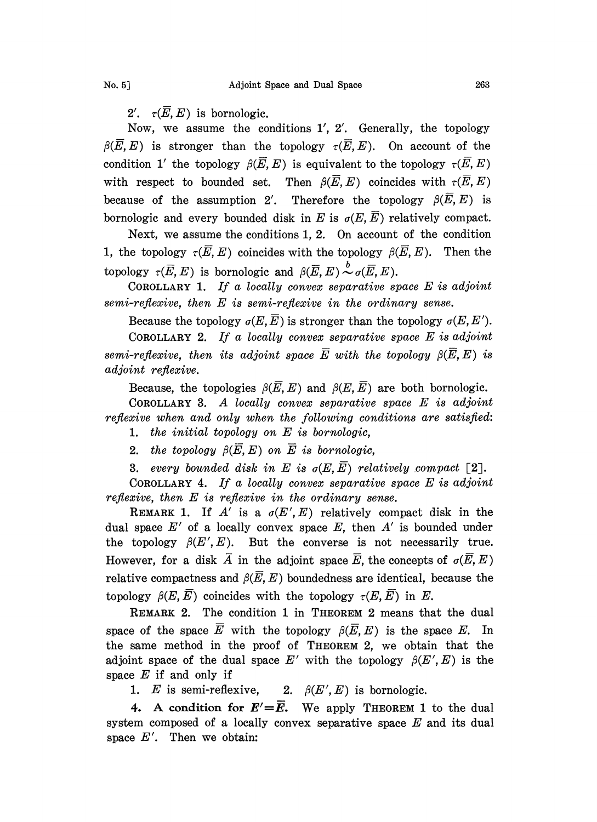2'.  $\tau(\overline{E}, E)$  is bornologic.

Now, we assume the conditions 1', 2'. Generally, the topology  $\beta(\overline{E},E)$  is stronger than the topology  $\tau(\overline{E},E)$ . On account of the condition 1' the topology  $\beta(E, E)$  is equivalent to the topology  $\tau(E, E)$ with respect to bounded set. Then  $\beta(\overline{E},E)$  coincides with  $\tau(\overline{E},E)$ because of the assumption 2'. Therefore the topology  $\beta(\overline{E},E)$  is bornologic and every bounded disk in E is  $\sigma(E, \overline{E})$  relatively compact.

Next, we assume the conditions 1, 2. On account of the condition 1, the topology  $\tau(\overline{E}, E)$  coincides with the topology  $\beta(\overline{E}, E)$ . Then the topology  $\tau(\overline{E}, E)$  is bornologic and  $\beta(\overline{E}, E) \stackrel{b}{\sim} \sigma(\overline{E}, E)$ .

COROLLARY 1. If a locally convex separative space  $E$  is adjoint semi-reflexive, then E is semi-reflexive in the ordinary sense.

Because the topology  $\sigma(E, \overline{E})$  is stronger than the topology  $\sigma(E, E')$ .

COROLLARY 2. If a locally convex separative space  $E$  is adjoint semi-reflexive, then its adjoint space  $\overline{E}$  with the topology  $\beta(\overline{E}, E)$  is adjoint reflexive.

Because, the topologies  $\beta(E, E)$  and  $\beta(E, \overline{E})$  are both bornologic.

COROLLARY 3. A locally convex separative space  $E$  is adjoint reflexive when and only when the following conditions are satisfied:

1. the initial topology on  $E$  is bornologic,

2. the topology  $\beta(\overline{E}, E)$  on  $\overline{E}$  is bornologic,

3. every bounded disk in E is  $\sigma(E,\overline{E})$  relatively compact [2].

COROLLARY 4. If a locally convex separative space  $E$  is adjoint reflexive, then E is reflexive in the ordinary sense.

REMARK 1. If A' is a  $\sigma(E', E)$  relatively compact disk in the dual space  $E'$  of a locally convex space  $E$ , then  $A'$  is bounded under the topology  $\beta(E', E)$ . But the converse is not necessarily true. However, for a disk  $\overline{A}$  in the adjoint space  $\overline{E}$ , the concepts of  $\sigma(\overline{E}, E)$ relative compactness and  $\beta(\overline{E}, E)$  boundedness are identical, because the topology  $\beta(E, \overline{E})$  coincides with the topology  $\tau(E, \overline{E})$  in E.

REMARK 2. The condition <sup>I</sup> in THEOREM 2 means that the dual space of the space  $\overline{E}$  with the topology  $\beta(\overline{E}, E)$  is the space E. In the same method in the proof of THEOREM 2, we obtain that the adjoint space of the dual space E' with the topology  $\beta(E', E)$  is the space  $E$  if and only if

1. E is semi-reflexive, 2.  $\beta(E', E)$  is bornologic.

4. A condition for  $E'=\overline{E}$ . We apply THEOREM 1 to the dual system composed of a locally convex separative space  $E$  and its dual space  $E'$ . Then we obtain: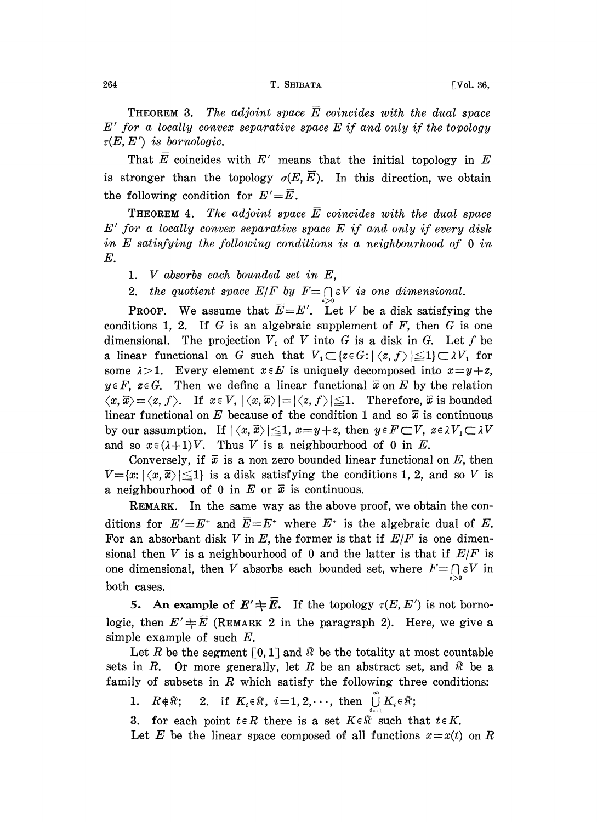**THEOREM 3.** The adjoint space  $\overline{E}$  coincides with the dual space  $E'$  for a locally convex separative space  $E$  if and only if the topology  $\tau(E,E')$  is bornologic.

That  $\overline{E}$  coincides with  $E'$  means that the initial topology in  $E$ is stronger than the topology  $\sigma(E,\overline{E})$ . In this direction, we obtain the following condition for  $E'=\overline{E}$ .

**THEOREM 4.** The adjoint space  $\overline{E}$  coincides with the dual space  $E'$  for a locally convex separative space  $E$  if and only if every disk in E satisfying the following conditions is <sup>a</sup> neighbourhood of <sup>0</sup> in E.

1. V absorbs each bounded set in E,

2. the quotient space  $E/F$  by  $F = \bigcap_{s \in S} \varepsilon V$  is one dimensional.

**PROOF.** We assume that  $\overline{E}=E'$ . Let V be a disk satisfying the conditions 1, 2. If  $G$  is an algebraic supplement of  $F$ , then  $G$  is one dimensional. The projection  $V_1$  of V into G is a disk in G. Let f be conditions 1, 2. If G is an algebraic supplement of F, then G is one<br>dimensional. The projection  $V_1$  of V into G is a disk in G. Let f be<br>a linear functional on G such that  $V_1 \subset \{z \in G: |\langle z, f \rangle| \leq 1\} \subset \lambda V_1$  for<br>some some  $\lambda > 1$ . Every element  $x \in E$  is uniquely decomposed into  $x = y + z$ ,  $y \in F$ ,  $z \in G$ . Then we define a linear functional  $\bar{x}$  on E by the relation  $\langle x,\overline{x}\rangle = \langle z, f\rangle$ . If  $x \in V, |\langle x,\overline{x}\rangle| = |\langle z, f\rangle| \leq 1$ . Therefore,  $\overline{x}$  is bounded linear functional on E because of the condition 1 and so  $\bar{x}$  is continuous by our assumption. If  $|\langle x,\overline{x}\rangle| \leq 1$ ,  $x=y+z$ , then  $y \in F\subset V$ ,  $z \in \lambda V$ ,  $\subset \lambda V$ and so  $x \in (\lambda+1)V$ . Thus V is a neighbourhood of 0 in E.

Conversely, if  $\bar{x}$  is a non zero bounded linear functional on E, then  $V = \{x: |\langle x, \overline{x}\rangle| \leq 1\}$  is a disk satisfying the conditions 1, 2, and so V is a neighbourhood of 0 in E or  $\bar{x}$  is continuous.

REMARK. In the same way as the above proof, we obtain the conditions for  $E'=E^+$  and  $\overline{E}=E^+$  where  $E^+$  is the algebraic dual of E. For an absorbant disk V in E, the former is that if  $E/F$  is one dimensional then V is a neighbourhood of 0 and the latter is that if  $E/F$  is one dimensional, then V absorbs each bounded set, where  $F = \bigcap_{\varepsilon > 0} \varepsilon V$  in both cases.

5. An example of  $E' \neq \overline{E}$ . If the topology  $\tau(E, E')$  is not bornologic, then  $E' \neq \overline{E}$  (REMARK 2 in the paragraph 2). Here, we give a simple example of such  $E$ .

Let R be the segment  $\lceil 0, 1 \rceil$  and  $\Re$  be the totality at most countable sets in R. Or more generally, let R be an abstract set, and R be a family of subsets in  $R$  which satisfy the following three conditions:

1.  $R \notin \mathbb{R}$ ; 2. if  $K_i \in \mathbb{R}$ ,  $i=1,2,\cdots$ , then  $\bigcup_{i=1}^{\infty} K_i \in \mathbb{R}$ ;

3. for each point  $t \in R$  there is a set  $K \in \mathbb{R}$  such that  $t \in K$ .

Let E be the linear space composed of all functions  $x = x(t)$  on R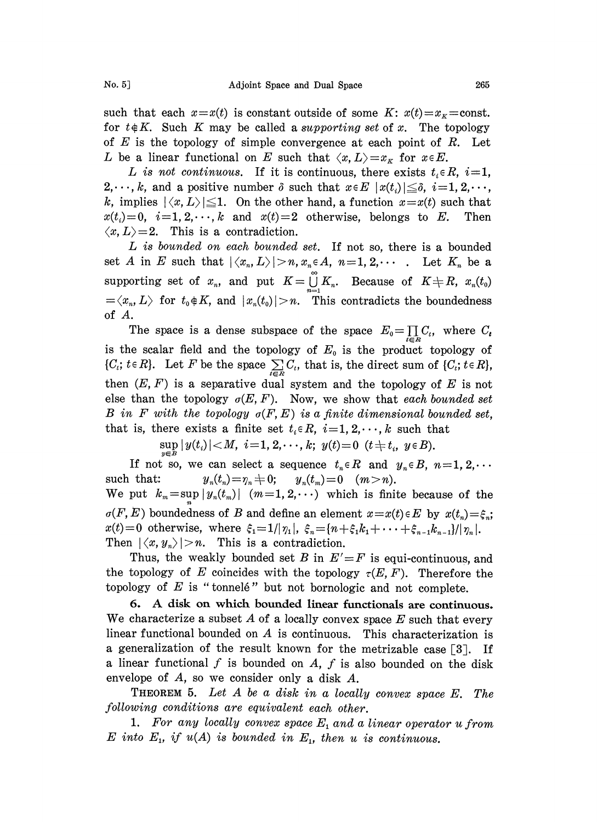such that each  $x=x(t)$  is constant outside of some K:  $x(t)=x_k=$ const. for  $t \notin K$ . Such K may be called a supporting set of x. The topology of  $E$  is the topology of simple convergence at each point of  $R$ . Let L be a linear functional on E such that  $\langle x, L \rangle = x_K$  for  $x \in E$ .

L is not continuous. If it is continuous, there exists  $t_i \in R$ ,  $i=1$ ,  $2,\dots, k$ , and a positive number  $\delta$  such that  $x \in E |x(t_i)| \leq \delta, i=1, 2,\dots,$ k, implies  $|\langle x, L \rangle| \leq 1$ . On the other hand, a function  $x = x(t)$  such that  $x(t_i)=0$ ,  $i=1,2,\dots,k$  and  $x(t)=2$  otherwise, belongs to E. Then  $\langle x, L \rangle = 2$ . This is a contradiction.

L is bounded on each bounded set. If not so, there is a bounded set A in E such that  $|\langle x_n, L \rangle| > n, x_n \in A$ ,  $n=1, 2, \cdots$ . Let  $K_n$  be a supporting set of  $x_n$ , and put  $K=\bigcup_{n=1}^{\infty} K_n$ . Because of  $K\neq R$ ,  $x_n(t_0)$  $\langle x_n, L \rangle$  for  $t_0 \notin K$ , and  $|x_n(t_0)| > n$ . This contradicts the boundedness of A.

The space is a dense subspace of the space  $E_0 = \prod_{i \in R} C_i$ , where  $C_t$ is the scalar field and the topology of  $E_0$  is the product topology of  $\{C_i; t \in R\}$ . Let F be the space  $\sum_{i \in R} C_i$ , that is, the direct sum of  $\{C_i; t \in R\}$ , then  $(E, F)$  is a separative dual system and the topology of E is not else than the topology  $\sigma(E, F)$ . Now, we show that each bounded set B in F with the topology  $\sigma(F, E)$  is a finite dimensional bounded set, that is, there exists a finite set  $t_i \in R$ ,  $i=1,2,\dots,k$  such that

$$
\sup_{x\in\mathbb{R}}|y(t_i)|
$$

If not so, we can select a sequence  $t_n \in R$  and  $y_n \in B$ ,  $n=1, 2, \cdots$ such that:  $y_n(t_n) = \eta_n \neq 0; \quad y_n(t_m) = 0 \quad (m > n).$ We put  $k_m=\sup |y_n(t_m)|$   $(m=1, 2, \cdots)$  which is finite because of the  $\sigma(F, E)$  boundedness of B and define an element  $x = x(t) \in E$  by  $x(t_n) = \xi_n$ ;  $x(t)=0$  otherwise, where  $\xi_1=1/|\eta_1|$ ,  $\xi_n=[n+\xi_1k_1+\cdots+\xi_{n-1}k_{n-1}]/|\eta_n|$ . Then  $|\langle x, y_n \rangle| > n$ . This is a contradiction.

Thus, the weakly bounded set B in  $E' = F$  is equi-continuous, and the topology of E coincides with the topology  $\tau(E, F)$ . Therefore the topology of  $E$  is "tonnelé" but not bornologic and not complete.

6. A disk on which bounded linear functionals are continuous. We characterize a subset  $A$  of a locally convex space  $E$  such that every linear functional bounded on  $A$  is continuous. This characterization is a generalization of the result known for the metrizable case [3]. If a linear functional f is bounded on A, f is also bounded on the disk envelope of A, so we consider only a disk A.

THEOREM 5. Let  $A$  be a disk in a locally convex space  $E$ . The following conditions are equivalent each other.

1. For any locally convex space  $E_1$  and a linear operator  $u$  from  $E$  into  $E_1$ , if  $u(A)$  is bounded in  $E_1$ , then u is continuous.